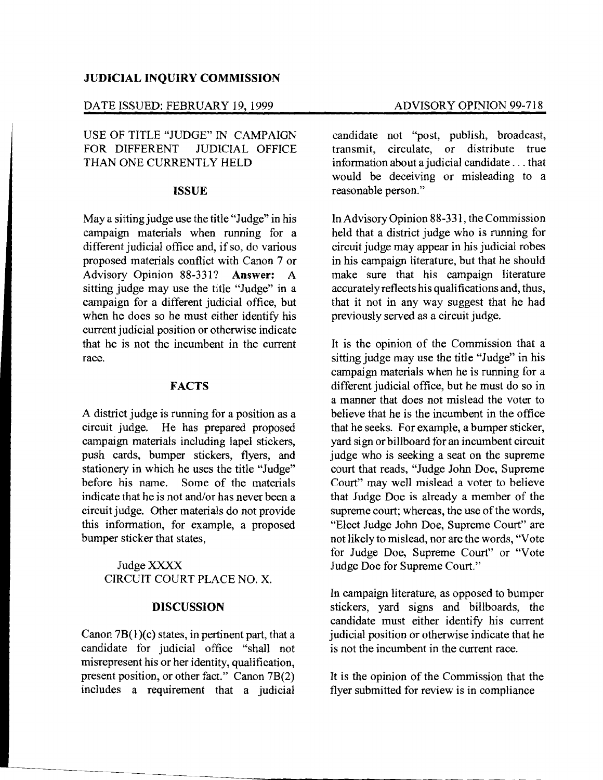#### JUDICIAL INQUIRY COMMISSION

## DATE ISSUED: FEBRUARY 19, 1999 ADVISORY OPINION 99-718

## USE OF TITLE "JUDGE" IN CAMPAIGN FOR DIFFERENT JUDICIAL OFFICE THAN ONE CURRENTLY HELD

#### ISSUE

Maya sitting judge use the title "Judge" in his campaign materials when running for a different judicial office and, if so, do various proposed materials conflict with Canon 7 or Advisory Opinion 88-331? Answer: A sitting judge may use the title "Judge" in a campaign for a different judicial office, but when he does so he must either identify his current judicial position or otherwise indicate that he is not the incumbent in the current race.

#### FACTS

A district judge is running for a position as a circuit judge. He has prepared proposed campaign materials including lapel stickers, push cards, bumper stickers, flyers, and stationery in which he uses the title "Judge" before his name. Some of the materials indicate that he is not and/or has never been a circuit judge. Other materials do not provide this information, for example, a proposed bumper sticker that states,

# JudgeXXXX CIRCUIT COURT PLACE NO. X.

#### DISCUSSION

Canon  $7B(1)(c)$  states, in pertinent part, that a candidate for judicial office "shall not misrepresent his or her identity, qualification, present position, or other fact." Canon 7B(2) includes a requirement that a judicial

candidate not "post, publish, broadcast, transmit, circulate, or distribute true information about a judicial candidate ... that would be deceiving or misleading to a reasonable person."

In Advisory Opinion 88-331, the Commission held that a district judge who is running for circuit judge may appear in his judicial robes in his campaign literature, but that he should make sure that his campaign literature accurately reflects his qualifications and, thus, that it not in any way suggest that he had previously served as a circuit judge.

It is the opinion of the Commission that a sitting judge may use the title "Judge" in his campaign materials when he is running for a different judicial office, but he must do so in a manner that does not mislead the voter to believe that he is the incumbent in the office that he seeks. For example, a bumper sticker, yard sign or billboard for an incumbent circuit judge who is seeking a seat on the supreme court that reads, "Judge John Doe, Supreme Court" may well mislead a voter to believe that Judge Doe is already a member of the supreme court; whereas, the use of the words, "Elect Judge John Doe, Supreme Court" are not likely to mislead, nor are the words, "Vote for Judge Doe, Supreme Court" or "Vote Judge Doe for Supreme Court."

In campaign literature, as opposed to bumper stickers, yard signs and billboards, the candidate must either identify his current judicial position or otherwise indicate that he is not the incumbent in the current race.

It is the opinion of the Commission that the flyer submitted for review is in compliance